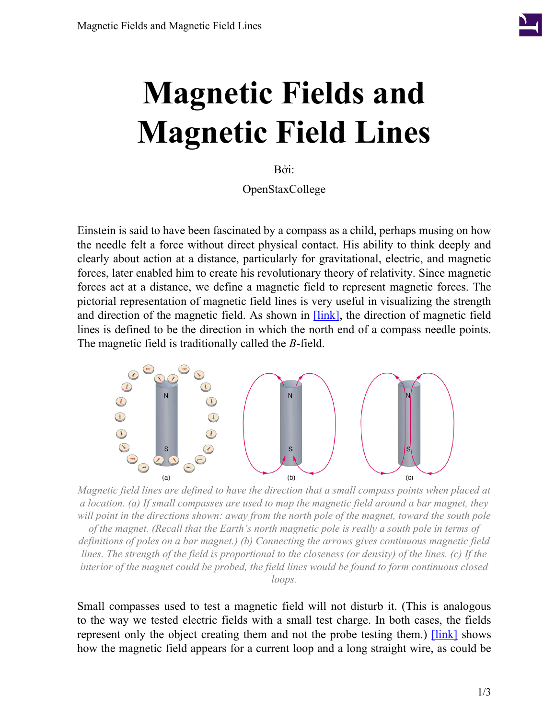

## **Magnetic Fields and Magnetic Field Lines**

Bởi:

OpenStaxCollege

Einstein is said to have been fascinated by a compass as a child, perhaps musing on how the needle felt a force without direct physical contact. His ability to think deeply and clearly about action at a distance, particularly for gravitational, electric, and magnetic forces, later enabled him to create his revolutionary theory of relativity. Since magnetic forces act at a distance, we define a magnetic field to represent magnetic forces. The pictorial representation of magnetic field lines is very useful in visualizing the strength and direction of the magnetic field. As shown in [\[link\],](#page-0-0) the direction of magnetic field lines is defined to be the direction in which the north end of a compass needle points. The magnetic field is traditionally called the *B*-field.

<span id="page-0-0"></span>

*Magnetic field lines are defined to have the direction that a small compass points when placed at a location. (a) If small compasses are used to map the magnetic field around a bar magnet, they will point in the directions shown: away from the north pole of the magnet, toward the south pole*

*of the magnet. (Recall that the Earth's north magnetic pole is really a south pole in terms of definitions of poles on a bar magnet.) (b) Connecting the arrows gives continuous magnetic field lines. The strength of the field is proportional to the closeness (or density) of the lines. (c) If the interior of the magnet could be probed, the field lines would be found to form continuous closed loops.*

Small compasses used to test a magnetic field will not disturb it. (This is analogous to the way we tested electric fields with a small test charge. In both cases, the fields represent only the object creating them and not the probe testing them.) [\[link\]](#page-1-0) shows how the magnetic field appears for a current loop and a long straight wire, as could be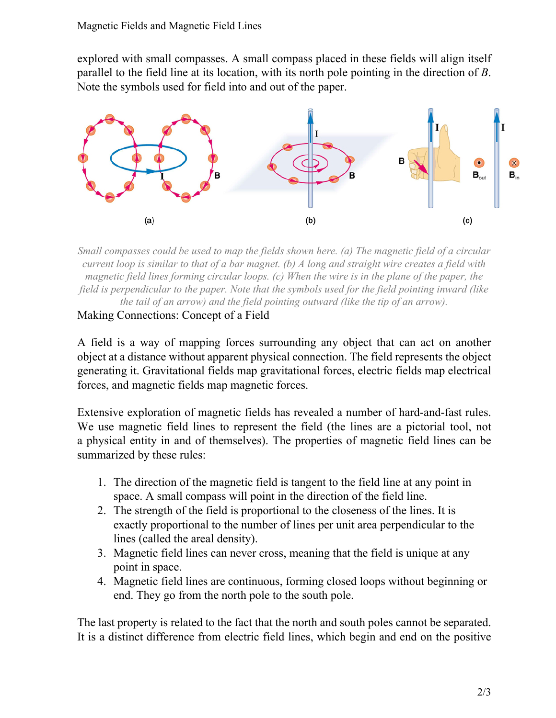explored with small compasses. A small compass placed in these fields will align itself parallel to the field line at its location, with its north pole pointing in the direction of *B*. Note the symbols used for field into and out of the paper.

<span id="page-1-0"></span>

*Small compasses could be used to map the fields shown here. (a) The magnetic field of a circular current loop is similar to that of a bar magnet. (b) A long and straight wire creates a field with magnetic field lines forming circular loops. (c) When the wire is in the plane of the paper, the field is perpendicular to the paper. Note that the symbols used for the field pointing inward (like the tail of an arrow) and the field pointing outward (like the tip of an arrow).*

## Making Connections: Concept of a Field

A field is a way of mapping forces surrounding any object that can act on another object at a distance without apparent physical connection. The field represents the object generating it. Gravitational fields map gravitational forces, electric fields map electrical forces, and magnetic fields map magnetic forces.

Extensive exploration of magnetic fields has revealed a number of hard-and-fast rules. We use magnetic field lines to represent the field (the lines are a pictorial tool, not a physical entity in and of themselves). The properties of magnetic field lines can be summarized by these rules:

- 1. The direction of the magnetic field is tangent to the field line at any point in space. A small compass will point in the direction of the field line.
- 2. The strength of the field is proportional to the closeness of the lines. It is exactly proportional to the number of lines per unit area perpendicular to the lines (called the areal density).
- 3. Magnetic field lines can never cross, meaning that the field is unique at any point in space.
- 4. Magnetic field lines are continuous, forming closed loops without beginning or end. They go from the north pole to the south pole.

The last property is related to the fact that the north and south poles cannot be separated. It is a distinct difference from electric field lines, which begin and end on the positive